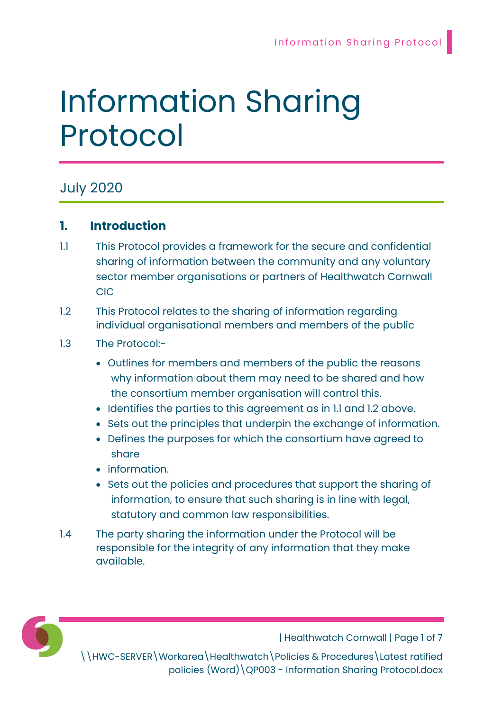# Information Sharing Protocol

# July 2020

# 1. Introduction

- 1.1 This Protocol provides a framework for the secure and confidential sharing of information between the community and any voluntary sector member organisations or partners of Healthwatch Cornwall CIC
- 1.2 This Protocol relates to the sharing of information regarding individual organisational members and members of the public
- 1.3 The Protocol:-
	- Outlines for members and members of the public the reasons why information about them may need to be shared and how the consortium member organisation will control this.
	- Identifies the parties to this agreement as in 1.1 and 1.2 above.
	- Sets out the principles that underpin the exchange of information.
	- Defines the purposes for which the consortium have agreed to share
	- **•** information.
	- Sets out the policies and procedures that support the sharing of information, to ensure that such sharing is in line with legal, statutory and common law responsibilities.
- 1.4 The party sharing the information under the Protocol will be responsible for the integrity of any information that they make available.



| Healthwatch Cornwall | Page 1 of 7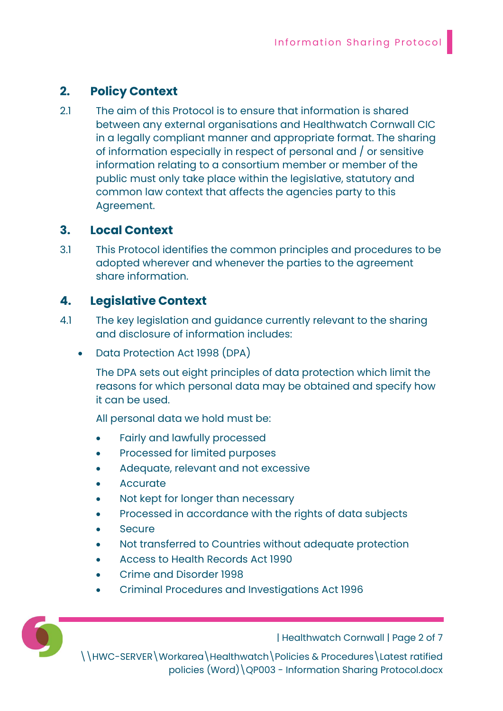# 2. Policy Context

2.1 The aim of this Protocol is to ensure that information is shared between any external organisations and Healthwatch Cornwall CIC in a legally compliant manner and appropriate format. The sharing of information especially in respect of personal and / or sensitive information relating to a consortium member or member of the public must only take place within the legislative, statutory and common law context that affects the agencies party to this Agreement.

#### 3. Local Context

3.1 This Protocol identifies the common principles and procedures to be adopted wherever and whenever the parties to the agreement share information.

### 4. Legislative Context

- 4.1 The key legislation and guidance currently relevant to the sharing and disclosure of information includes:
	- Data Protection Act 1998 (DPA)

The DPA sets out eight principles of data protection which limit the reasons for which personal data may be obtained and specify how it can be used.

All personal data we hold must be:

- Fairly and lawfully processed
- Processed for limited purposes
- Adequate, relevant and not excessive
- Accurate
- Not kept for longer than necessary
- Processed in accordance with the rights of data subjects
- **Secure**
- Not transferred to Countries without adequate protection
- Access to Health Records Act 1990
- Crime and Disorder 1998
- Criminal Procedures and Investigations Act 1996

| Healthwatch Cornwall | Page 2 of 7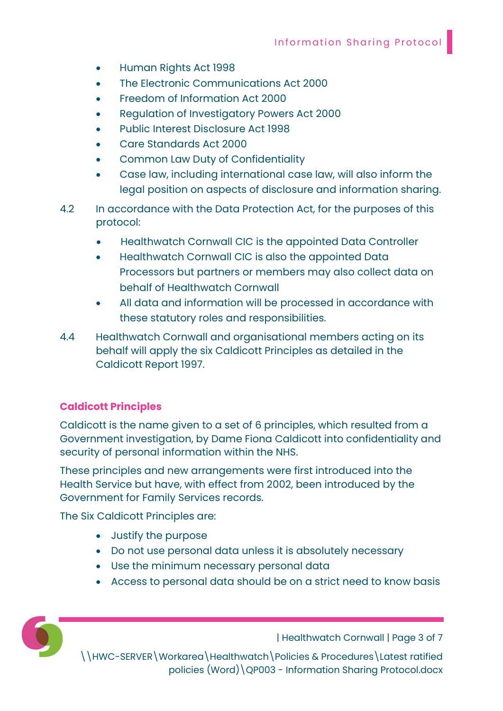- Human Rights Act 1998
- The Electronic Communications Act 2000
- Freedom of Information Act 2000
- Regulation of Investigatory Powers Act 2000
- Public Interest Disclosure Act 1998
- Care Standards Act 2000
- Common Law Duty of Confidentiality
- Case law, including international case law, will also inform the legal position on aspects of disclosure and information sharing.
- 4.2 In accordance with the Data Protection Act, for the purposes of this protocol:
	- Healthwatch Cornwall CIC is the appointed Data Controller
	- Healthwatch Cornwall CIC is also the appointed Data Processors but partners or members may also collect data on behalf of Healthwatch Cornwall
	- All data and information will be processed in accordance with these statutory roles and responsibilities.
- 4.4 Healthwatch Cornwall and organisational members acting on its behalf will apply the six Caldicott Principles as detailed in the Caldicott Report 1997.

#### Caldicott Principles

Caldicott is the name given to a set of 6 principles, which resulted from a Government investigation, by Dame Fiona Caldicott into confidentiality and security of personal information within the NHS.

These principles and new arrangements were first introduced into the Health Service but have, with effect from 2002, been introduced by the Government for Family Services records.

The Six Caldicott Principles are:

- Justify the purpose
- Do not use personal data unless it is absolutely necessary
- Use the minimum necessary personal data
- Access to personal data should be on a strict need to know basis



| Healthwatch Cornwall | Page 3 of 7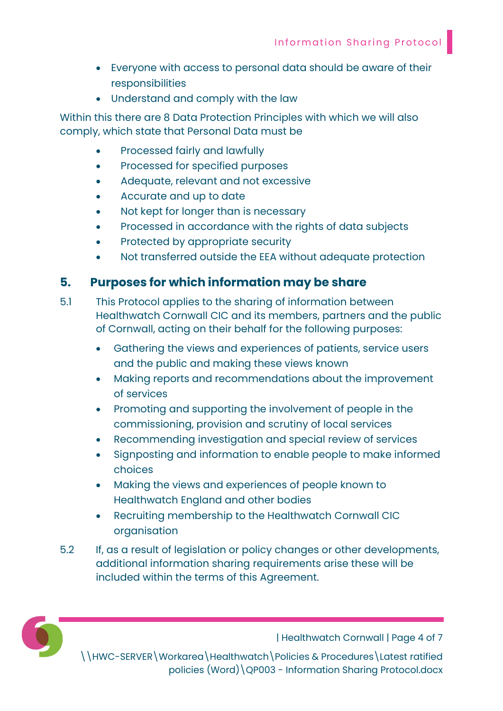- Everyone with access to personal data should be aware of their responsibilities
- Understand and comply with the law

Within this there are 8 Data Protection Principles with which we will also comply, which state that Personal Data must be

- Processed fairly and lawfully
- Processed for specified purposes
- Adequate, relevant and not excessive
- Accurate and up to date
- Not kept for longer than is necessary
- Processed in accordance with the rights of data subjects
- Protected by appropriate security
- Not transferred outside the EEA without adequate protection

#### 5. Purposes for which information may be share

- 5.1 This Protocol applies to the sharing of information between Healthwatch Cornwall CIC and its members, partners and the public of Cornwall, acting on their behalf for the following purposes:
	- Gathering the views and experiences of patients, service users and the public and making these views known
	- Making reports and recommendations about the improvement of services
	- Promoting and supporting the involvement of people in the commissioning, provision and scrutiny of local services
	- Recommending investigation and special review of services
	- Signposting and information to enable people to make informed choices
	- Making the views and experiences of people known to Healthwatch England and other bodies
	- Recruiting membership to the Healthwatch Cornwall CIC organisation
- 5.2 If, as a result of legislation or policy changes or other developments, additional information sharing requirements arise these will be included within the terms of this Agreement.



| Healthwatch Cornwall | Page 4 of 7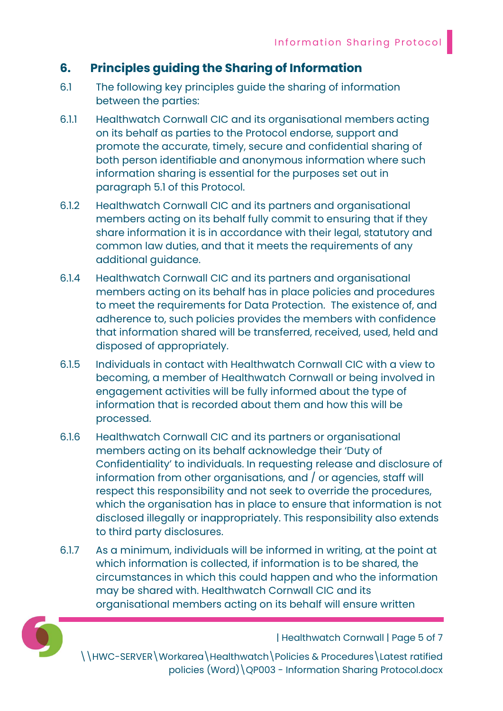# 6. Principles guiding the Sharing of Information

- 6.1 The following key principles guide the sharing of information between the parties:
- 6.1.1 Healthwatch Cornwall CIC and its organisational members acting on its behalf as parties to the Protocol endorse, support and promote the accurate, timely, secure and confidential sharing of both person identifiable and anonymous information where such information sharing is essential for the purposes set out in paragraph 5.1 of this Protocol.
- 6.1.2 Healthwatch Cornwall CIC and its partners and organisational members acting on its behalf fully commit to ensuring that if they share information it is in accordance with their legal, statutory and common law duties, and that it meets the requirements of any additional guidance.
- 6.1.4 Healthwatch Cornwall CIC and its partners and organisational members acting on its behalf has in place policies and procedures to meet the requirements for Data Protection. The existence of, and adherence to, such policies provides the members with confidence that information shared will be transferred, received, used, held and disposed of appropriately.
- 6.1.5 Individuals in contact with Healthwatch Cornwall CIC with a view to becoming, a member of Healthwatch Cornwall or being involved in engagement activities will be fully informed about the type of information that is recorded about them and how this will be processed.
- 6.1.6 Healthwatch Cornwall CIC and its partners or organisational members acting on its behalf acknowledge their 'Duty of Confidentiality' to individuals. In requesting release and disclosure of information from other organisations, and / or agencies, staff will respect this responsibility and not seek to override the procedures, which the organisation has in place to ensure that information is not disclosed illegally or inappropriately. This responsibility also extends to third party disclosures.
- 6.1.7 As a minimum, individuals will be informed in writing, at the point at which information is collected, if information is to be shared, the circumstances in which this could happen and who the information may be shared with. Healthwatch Cornwall CIC and its organisational members acting on its behalf will ensure written



| Healthwatch Cornwall | Page 5 of 7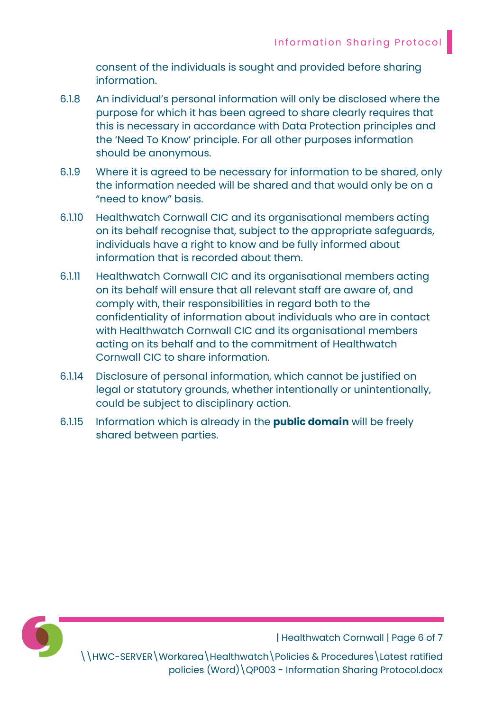consent of the individuals is sought and provided before sharing information.

- 6.1.8 An individual's personal information will only be disclosed where the purpose for which it has been agreed to share clearly requires that this is necessary in accordance with Data Protection principles and the 'Need To Know' principle. For all other purposes information should be anonymous.
- 6.1.9 Where it is agreed to be necessary for information to be shared, only the information needed will be shared and that would only be on a "need to know" basis.
- 6.1.10 Healthwatch Cornwall CIC and its organisational members acting on its behalf recognise that, subject to the appropriate safeguards, individuals have a right to know and be fully informed about information that is recorded about them.
- 6.1.11 Healthwatch Cornwall CIC and its organisational members acting on its behalf will ensure that all relevant staff are aware of, and comply with, their responsibilities in regard both to the confidentiality of information about individuals who are in contact with Healthwatch Cornwall CIC and its organisational members acting on its behalf and to the commitment of Healthwatch Cornwall CIC to share information.
- 6.1.14 Disclosure of personal information, which cannot be justified on legal or statutory grounds, whether intentionally or unintentionally, could be subject to disciplinary action.
- 6.1.15 Information which is already in the **public domain** will be freely shared between parties.



| Healthwatch Cornwall | Page 6 of 7